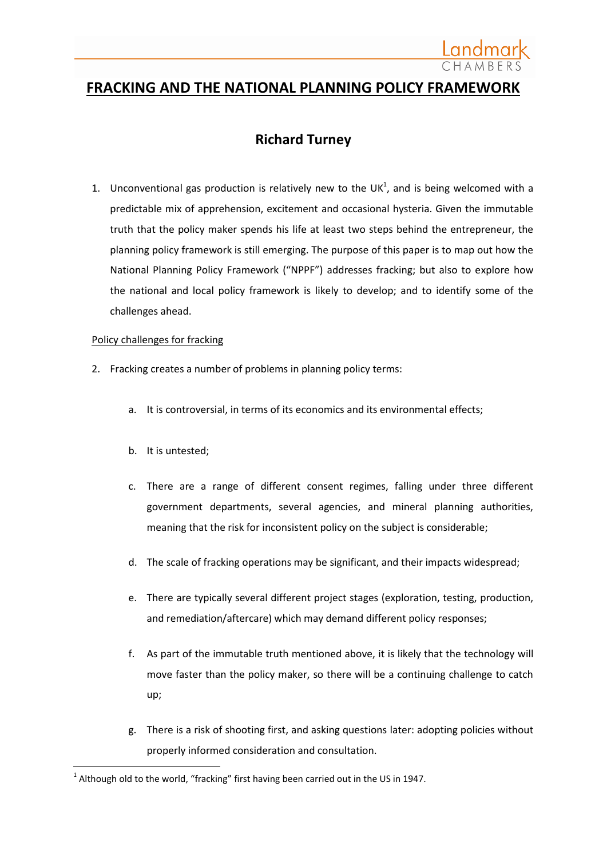

# **FRACKING AND THE NATIONAL PLANNING POLICY FRAMEWORK**

# **Richard Turney**

1. Unconventional gas production is relatively new to the UK<sup>1</sup>, and is being welcomed with a predictable mix of apprehension, excitement and occasional hysteria. Given the immutable truth that the policy maker spends his life at least two steps behind the entrepreneur, the planning policy framework is still emerging. The purpose of this paper is to map out how the National Planning Policy Framework ("NPPF") addresses fracking; but also to explore how the national and local policy framework is likely to develop; and to identify some of the challenges ahead.

#### Policy challenges for fracking

- 2. Fracking creates a number of problems in planning policy terms:
	- a. It is controversial, in terms of its economics and its environmental effects;
	- b. It is untested;

**.** 

- c. There are a range of different consent regimes, falling under three different government departments, several agencies, and mineral planning authorities, meaning that the risk for inconsistent policy on the subject is considerable;
- d. The scale of fracking operations may be significant, and their impacts widespread;
- e. There are typically several different project stages (exploration, testing, production, and remediation/aftercare) which may demand different policy responses;
- f. As part of the immutable truth mentioned above, it is likely that the technology will move faster than the policy maker, so there will be a continuing challenge to catch up;
- g. There is a risk of shooting first, and asking questions later: adopting policies without properly informed consideration and consultation.

 $^1$  Although old to the world, "fracking" first having been carried out in the US in 1947.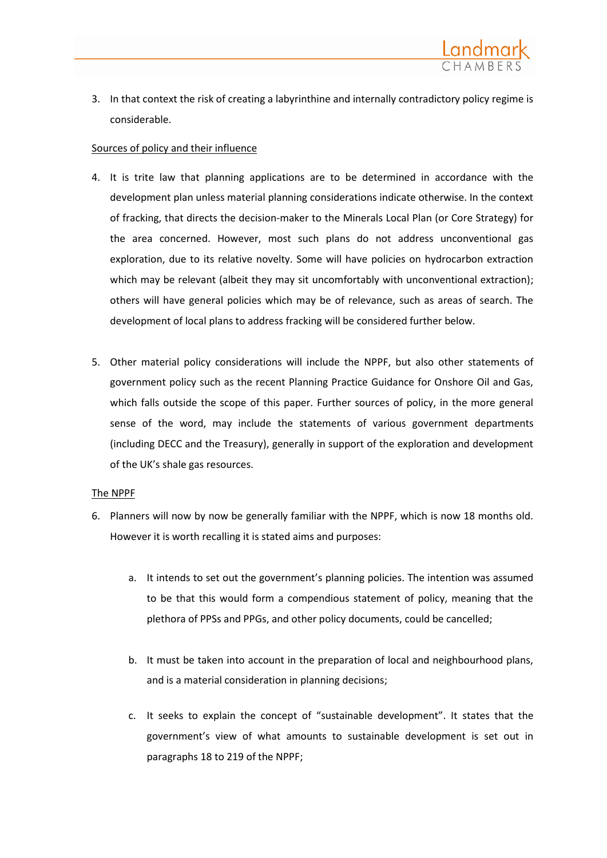

3. In that context the risk of creating a labyrinthine and internally contradictory policy regime is considerable.

### Sources of policy and their influence

- 4. It is trite law that planning applications are to be determined in accordance with the development plan unless material planning considerations indicate otherwise. In the context of fracking, that directs the decision-maker to the Minerals Local Plan (or Core Strategy) for the area concerned. However, most such plans do not address unconventional gas exploration, due to its relative novelty. Some will have policies on hydrocarbon extraction which may be relevant (albeit they may sit uncomfortably with unconventional extraction); others will have general policies which may be of relevance, such as areas of search. The development of local plans to address fracking will be considered further below.
- 5. Other material policy considerations will include the NPPF, but also other statements of government policy such as the recent Planning Practice Guidance for Onshore Oil and Gas, which falls outside the scope of this paper. Further sources of policy, in the more general sense of the word, may include the statements of various government departments (including DECC and the Treasury), generally in support of the exploration and development of the UK's shale gas resources.

#### The NPPF

- 6. Planners will now by now be generally familiar with the NPPF, which is now 18 months old. However it is worth recalling it is stated aims and purposes:
	- a. It intends to set out the government's planning policies. The intention was assumed to be that this would form a compendious statement of policy, meaning that the plethora of PPSs and PPGs, and other policy documents, could be cancelled;
	- b. It must be taken into account in the preparation of local and neighbourhood plans, and is a material consideration in planning decisions;
	- c. It seeks to explain the concept of "sustainable development". It states that the government's view of what amounts to sustainable development is set out in paragraphs 18 to 219 of the NPPF;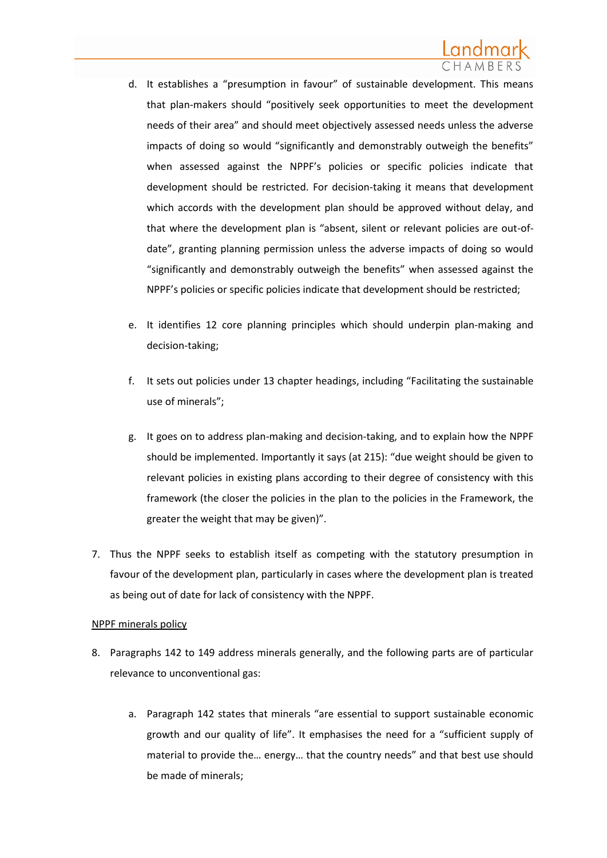- d. It establishes a "presumption in favour" of sustainable development. This means that plan-makers should "positively seek opportunities to meet the development needs of their area" and should meet objectively assessed needs unless the adverse impacts of doing so would "significantly and demonstrably outweigh the benefits" when assessed against the NPPF's policies or specific policies indicate that development should be restricted. For decision-taking it means that development which accords with the development plan should be approved without delay, and that where the development plan is "absent, silent or relevant policies are out-ofdate", granting planning permission unless the adverse impacts of doing so would "significantly and demonstrably outweigh the benefits" when assessed against the NPPF's policies or specific policies indicate that development should be restricted;
- e. It identifies 12 core planning principles which should underpin plan-making and decision-taking;
- f. It sets out policies under 13 chapter headings, including "Facilitating the sustainable use of minerals";
- g. It goes on to address plan-making and decision-taking, and to explain how the NPPF should be implemented. Importantly it says (at 215): "due weight should be given to relevant policies in existing plans according to their degree of consistency with this framework (the closer the policies in the plan to the policies in the Framework, the greater the weight that may be given)".
- 7. Thus the NPPF seeks to establish itself as competing with the statutory presumption in favour of the development plan, particularly in cases where the development plan is treated as being out of date for lack of consistency with the NPPF.

## NPPF minerals policy

- 8. Paragraphs 142 to 149 address minerals generally, and the following parts are of particular relevance to unconventional gas:
	- a. Paragraph 142 states that minerals "are essential to support sustainable economic growth and our quality of life". It emphasises the need for a "sufficient supply of material to provide the… energy… that the country needs" and that best use should be made of minerals;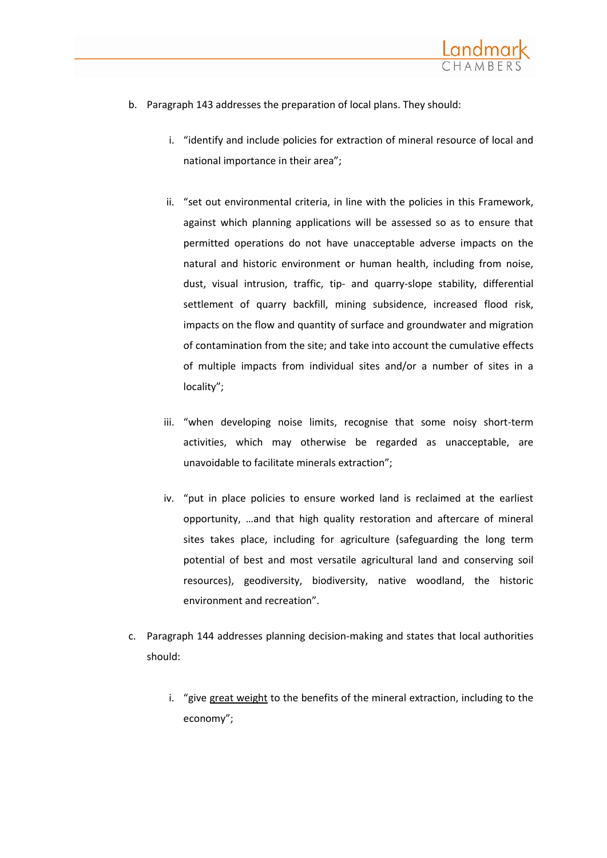

- b. Paragraph 143 addresses the preparation of local plans. They should:
	- i. "identify and include policies for extraction of mineral resource of local and national importance in their area";
	- ii. "set out environmental criteria, in line with the policies in this Framework, against which planning applications will be assessed so as to ensure that permitted operations do not have unacceptable adverse impacts on the natural and historic environment or human health, including from noise, dust, visual intrusion, traffic, tip- and quarry-slope stability, differential settlement of quarry backfill, mining subsidence, increased flood risk, impacts on the flow and quantity of surface and groundwater and migration of contamination from the site; and take into account the cumulative effects of multiple impacts from individual sites and/or a number of sites in a locality";
	- iii. "when developing noise limits, recognise that some noisy short-term activities, which may otherwise be regarded as unacceptable, are unavoidable to facilitate minerals extraction";
	- iv. "put in place policies to ensure worked land is reclaimed at the earliest opportunity, …and that high quality restoration and aftercare of mineral sites takes place, including for agriculture (safeguarding the long term potential of best and most versatile agricultural land and conserving soil resources), geodiversity, biodiversity, native woodland, the historic environment and recreation".
- c. Paragraph 144 addresses planning decision-making and states that local authorities should:
	- i. "give great weight to the benefits of the mineral extraction, including to the economy";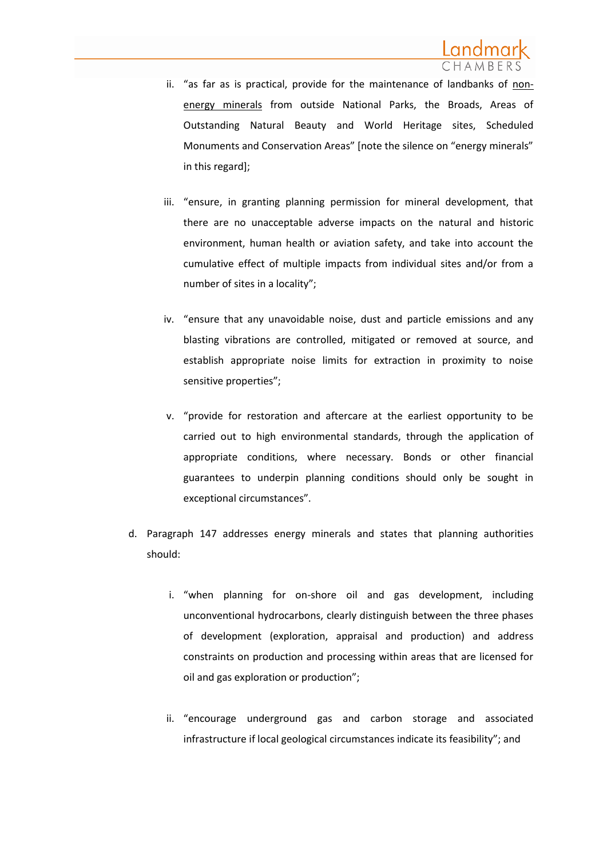- ii. "as far as is practical, provide for the maintenance of landbanks of nonenergy minerals from outside National Parks, the Broads, Areas of Outstanding Natural Beauty and World Heritage sites, Scheduled Monuments and Conservation Areas" [note the silence on "energy minerals" in this regard];
- iii. "ensure, in granting planning permission for mineral development, that there are no unacceptable adverse impacts on the natural and historic environment, human health or aviation safety, and take into account the cumulative effect of multiple impacts from individual sites and/or from a number of sites in a locality";
- iv. "ensure that any unavoidable noise, dust and particle emissions and any blasting vibrations are controlled, mitigated or removed at source, and establish appropriate noise limits for extraction in proximity to noise sensitive properties";
- v. "provide for restoration and aftercare at the earliest opportunity to be carried out to high environmental standards, through the application of appropriate conditions, where necessary. Bonds or other financial guarantees to underpin planning conditions should only be sought in exceptional circumstances".
- d. Paragraph 147 addresses energy minerals and states that planning authorities should:
	- i. "when planning for on-shore oil and gas development, including unconventional hydrocarbons, clearly distinguish between the three phases of development (exploration, appraisal and production) and address constraints on production and processing within areas that are licensed for oil and gas exploration or production";
	- ii. "encourage underground gas and carbon storage and associated infrastructure if local geological circumstances indicate its feasibility"; and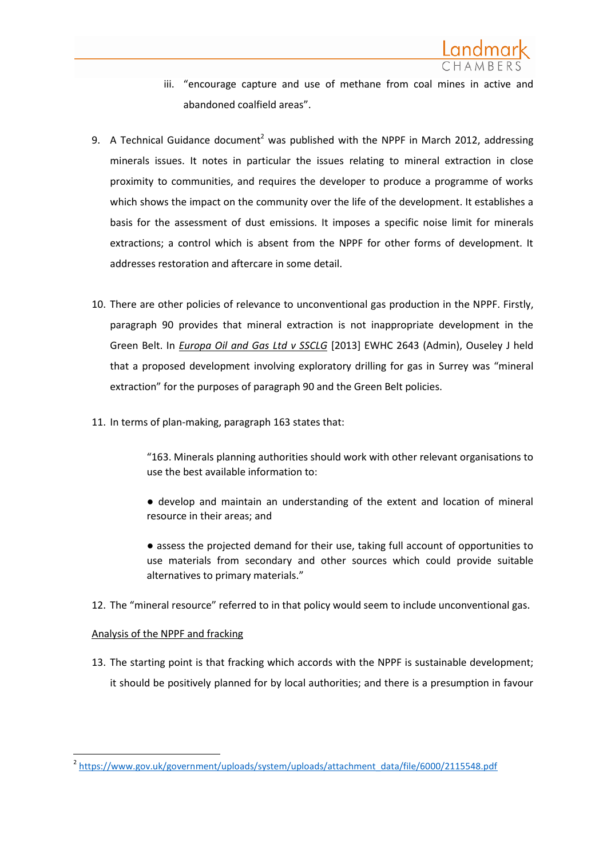

- iii. "encourage capture and use of methane from coal mines in active and abandoned coalfield areas".
- 9. A Technical Guidance document<sup>2</sup> was published with the NPPF in March 2012, addressing minerals issues. It notes in particular the issues relating to mineral extraction in close proximity to communities, and requires the developer to produce a programme of works which shows the impact on the community over the life of the development. It establishes a basis for the assessment of dust emissions. It imposes a specific noise limit for minerals extractions; a control which is absent from the NPPF for other forms of development. It addresses restoration and aftercare in some detail.
- 10. There are other policies of relevance to unconventional gas production in the NPPF. Firstly, paragraph 90 provides that mineral extraction is not inappropriate development in the Green Belt. In *Europa Oil and Gas Ltd v SSCLG* [2013] EWHC 2643 (Admin), Ouseley J held that a proposed development involving exploratory drilling for gas in Surrey was "mineral extraction" for the purposes of paragraph 90 and the Green Belt policies.
- 11. In terms of plan-making, paragraph 163 states that:

"163. Minerals planning authorities should work with other relevant organisations to use the best available information to:

● develop and maintain an understanding of the extent and location of mineral resource in their areas; and

● assess the projected demand for their use, taking full account of opportunities to use materials from secondary and other sources which could provide suitable alternatives to primary materials."

12. The "mineral resource" referred to in that policy would seem to include unconventional gas.

## Analysis of the NPPF and fracking

13. The starting point is that fracking which accords with the NPPF is sustainable development; it should be positively planned for by local authorities; and there is a presumption in favour

**<sup>.</sup>** <sup>2</sup> [https://www.gov.uk/government/uploads/system/uploads/attachment\\_data/file/6000/2115548.pdf](https://www.gov.uk/government/uploads/system/uploads/attachment_data/file/6000/2115548.pdf)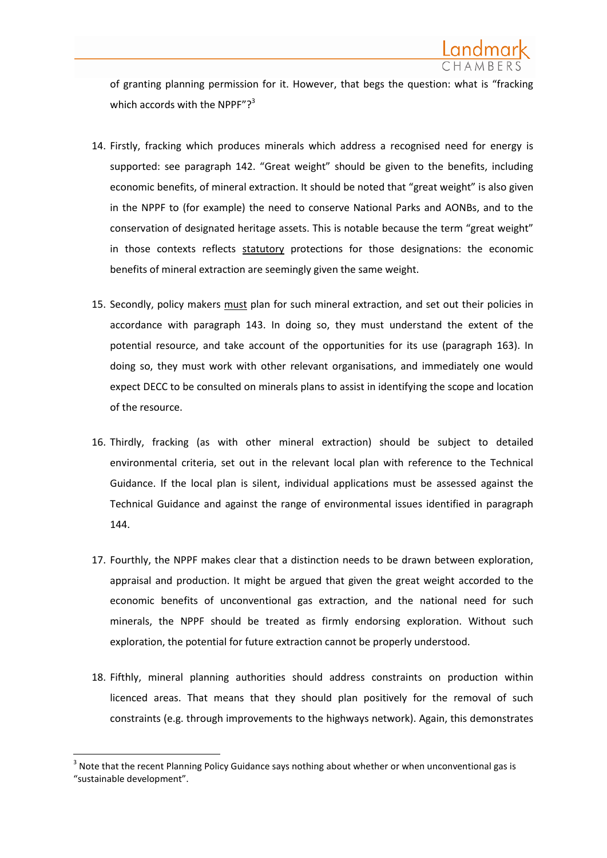

of granting planning permission for it. However, that begs the question: what is "fracking which accords with the NPPF"?<sup>3</sup>

- 14. Firstly, fracking which produces minerals which address a recognised need for energy is supported: see paragraph 142. "Great weight" should be given to the benefits, including economic benefits, of mineral extraction. It should be noted that "great weight" is also given in the NPPF to (for example) the need to conserve National Parks and AONBs, and to the conservation of designated heritage assets. This is notable because the term "great weight" in those contexts reflects statutory protections for those designations: the economic benefits of mineral extraction are seemingly given the same weight.
- 15. Secondly, policy makers must plan for such mineral extraction, and set out their policies in accordance with paragraph 143. In doing so, they must understand the extent of the potential resource, and take account of the opportunities for its use (paragraph 163). In doing so, they must work with other relevant organisations, and immediately one would expect DECC to be consulted on minerals plans to assist in identifying the scope and location of the resource.
- 16. Thirdly, fracking (as with other mineral extraction) should be subject to detailed environmental criteria, set out in the relevant local plan with reference to the Technical Guidance. If the local plan is silent, individual applications must be assessed against the Technical Guidance and against the range of environmental issues identified in paragraph 144.
- 17. Fourthly, the NPPF makes clear that a distinction needs to be drawn between exploration, appraisal and production. It might be argued that given the great weight accorded to the economic benefits of unconventional gas extraction, and the national need for such minerals, the NPPF should be treated as firmly endorsing exploration. Without such exploration, the potential for future extraction cannot be properly understood.
- 18. Fifthly, mineral planning authorities should address constraints on production within licenced areas. That means that they should plan positively for the removal of such constraints (e.g. through improvements to the highways network). Again, this demonstrates

**.** 

 $3$  Note that the recent Planning Policy Guidance says nothing about whether or when unconventional gas is "sustainable development".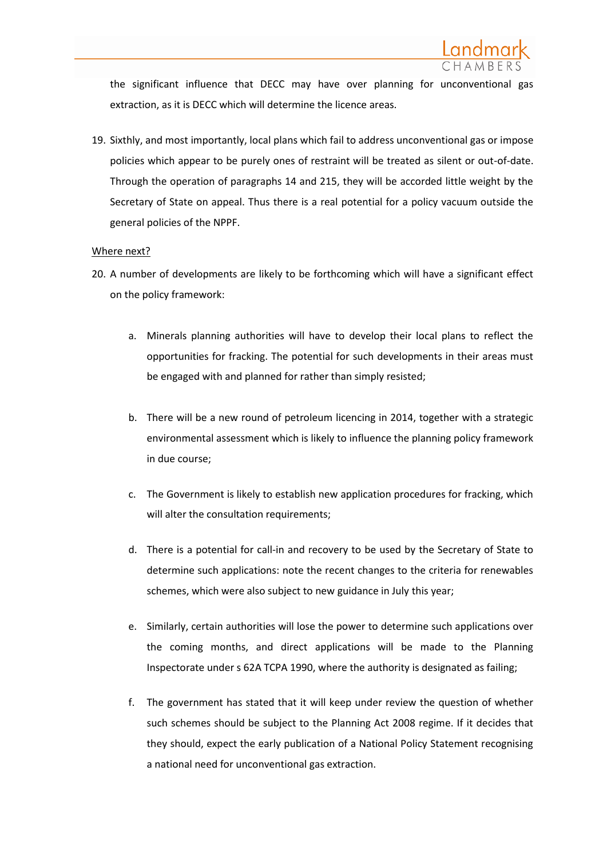

the significant influence that DECC may have over planning for unconventional gas extraction, as it is DECC which will determine the licence areas.

19. Sixthly, and most importantly, local plans which fail to address unconventional gas or impose policies which appear to be purely ones of restraint will be treated as silent or out-of-date. Through the operation of paragraphs 14 and 215, they will be accorded little weight by the Secretary of State on appeal. Thus there is a real potential for a policy vacuum outside the general policies of the NPPF.

#### Where next?

- 20. A number of developments are likely to be forthcoming which will have a significant effect on the policy framework:
	- a. Minerals planning authorities will have to develop their local plans to reflect the opportunities for fracking. The potential for such developments in their areas must be engaged with and planned for rather than simply resisted;
	- b. There will be a new round of petroleum licencing in 2014, together with a strategic environmental assessment which is likely to influence the planning policy framework in due course;
	- c. The Government is likely to establish new application procedures for fracking, which will alter the consultation requirements;
	- d. There is a potential for call-in and recovery to be used by the Secretary of State to determine such applications: note the recent changes to the criteria for renewables schemes, which were also subject to new guidance in July this year;
	- e. Similarly, certain authorities will lose the power to determine such applications over the coming months, and direct applications will be made to the Planning Inspectorate under s 62A TCPA 1990, where the authority is designated as failing;
	- f. The government has stated that it will keep under review the question of whether such schemes should be subject to the Planning Act 2008 regime. If it decides that they should, expect the early publication of a National Policy Statement recognising a national need for unconventional gas extraction.